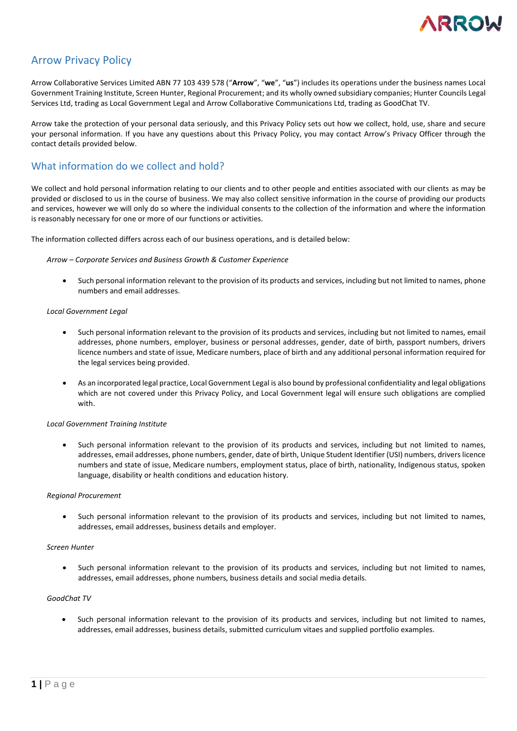

# Arrow Privacy Policy

Arrow Collaborative Services Limited ABN 77 103 439 578 ("**Arrow**", "**we**", "**us**") includes its operations under the business names Local Government Training Institute, Screen Hunter, Regional Procurement; and its wholly owned subsidiary companies; Hunter Councils Legal Services Ltd, trading as Local Government Legal and Arrow Collaborative Communications Ltd, trading as GoodChat TV.

Arrow take the protection of your personal data seriously, and this Privacy Policy sets out how we collect, hold, use, share and secure your personal information. If you have any questions about this Privacy Policy, you may contact Arrow's Privacy Officer through the contact details provided below.

# What information do we collect and hold?

We collect and hold personal information relating to our clients and to other people and entities associated with our clients as may be provided or disclosed to us in the course of business. We may also collect sensitive information in the course of providing our products and services, however we will only do so where the individual consents to the collection of the information and where the information is reasonably necessary for one or more of our functions or activities.

The information collected differs across each of our business operations, and is detailed below:

#### *Arrow – Corporate Services and Business Growth & Customer Experience*

• Such personal information relevant to the provision of its products and services, including but not limited to names, phone numbers and email addresses.

#### *Local Government Legal*

- Such personal information relevant to the provision of its products and services, including but not limited to names, email addresses, phone numbers, employer, business or personal addresses, gender, date of birth, passport numbers, drivers licence numbers and state of issue, Medicare numbers, place of birth and any additional personal information required for the legal services being provided.
- As an incorporated legal practice, Local Government Legal is also bound by professional confidentiality and legal obligations which are not covered under this Privacy Policy, and Local Government legal will ensure such obligations are complied with.

#### *Local Government Training Institute*

• Such personal information relevant to the provision of its products and services, including but not limited to names, addresses, email addresses, phone numbers, gender, date of birth, Unique Student Identifier (USI) numbers, drivers licence numbers and state of issue, Medicare numbers, employment status, place of birth, nationality, Indigenous status, spoken language, disability or health conditions and education history.

#### *Regional Procurement*

Such personal information relevant to the provision of its products and services, including but not limited to names, addresses, email addresses, business details and employer.

#### *Screen Hunter*

Such personal information relevant to the provision of its products and services, including but not limited to names, addresses, email addresses, phone numbers, business details and social media details.

#### *GoodChat TV*

• Such personal information relevant to the provision of its products and services, including but not limited to names, addresses, email addresses, business details, submitted curriculum vitaes and supplied portfolio examples.